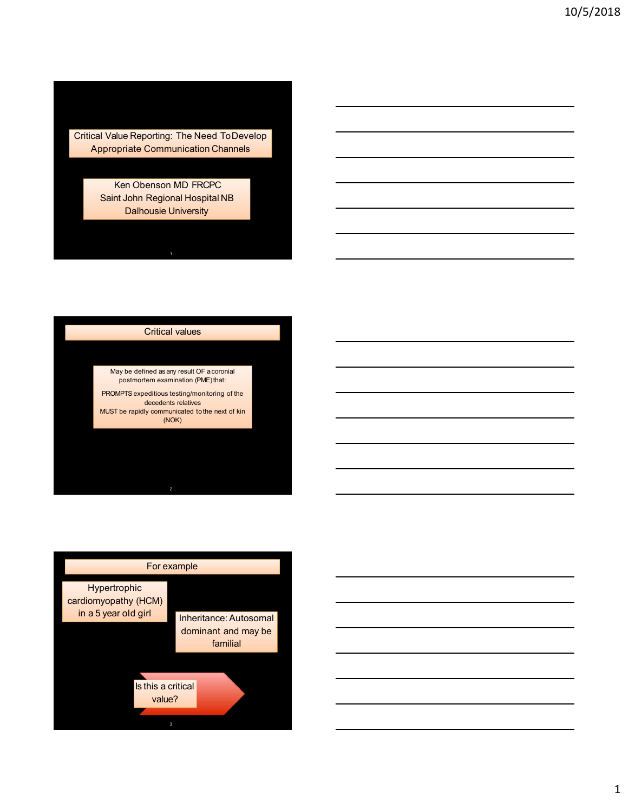Critical Value Reporting: The Need ToDevelop

Cal Value Reporting: The Need To Develop<br>Appropriate Communication Channels<br>Ken Obenson MD FRCPC<br>Saint John Regional Hospital NB<br>Dalhousie University Ken Obenson MD FRCPC I Value Reporting: The Need ToDevelop<br>ppropriate Communication Channels<br>Ken Obenson MD FRCPC<br>Saint John Regional Hospital NB<br>Dalhousie University Reporting: The Need To Develop<br>
Internation Channels<br>
on Obenson MD FRCPC<br>
John Regional Hospital NB<br>
Dalhousie University<br>
Critical values<br>
Critical values<br>
Critical values<br>
The openitions restrict (PMS) that the strained Ne Reporting: The Need To Develop<br>
Triate Communication Channels<br>
Len Obenson MD FRCPC<br>
John Regional Hospital NB<br>
Dalhousie University<br>
Critical values<br>
y be defined as any result OF accoroinal<br>
postmortem examination (PM Value Reporting: The Need To Develop<br>propriate Communication Channels<br>Ken Obenson MD FRCPC<br>Saint John Regional Hospital NB<br>Dalhousie University<br>Dalhousie University<br>Potters a profilion animal manufactor (PRCMFTs argueditio

May be defined as any result OF acoronial

oorting: The Need To Develop<br>Communication Channels<br>enson MD FRCPC<br>Regional Hospital NB<br>Wousie University<br>Critical values<br>and as any result Of a coordial<br>entering and the properties of the discussion republication (PME) th MUST be rapidly communicated tothe next of kin (NOK)



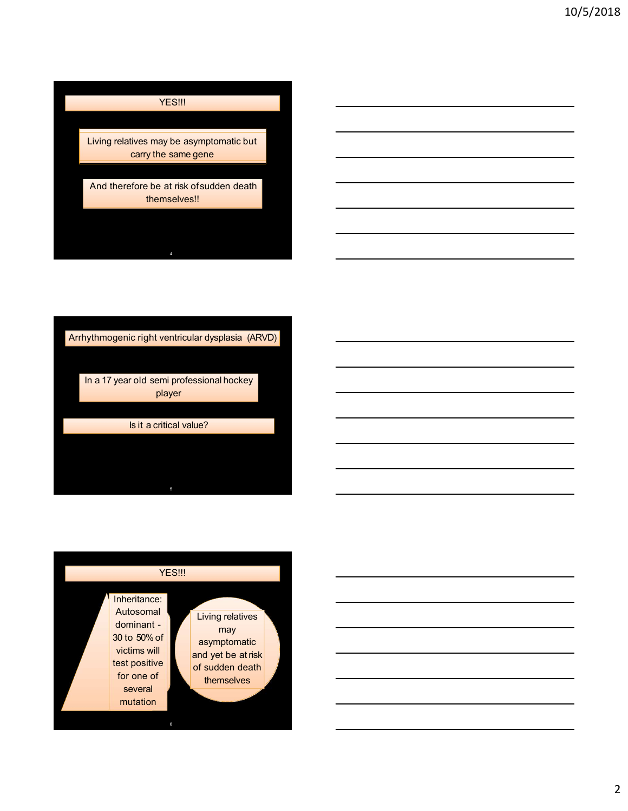# **YES!!!**

VES!!!<br>
Living relatives may be asymptomatic but<br>
carry the same gene<br>
And therefore be at risk of sudden death<br>
themselves!! YES!!!<br>vives may be asymptomatic but<br>carry the same gene<br>fore be at risk of sudden death<br>themselves!! And therefore be at risk of sudden death themselves!!



 $5<sub>5</sub>$ 

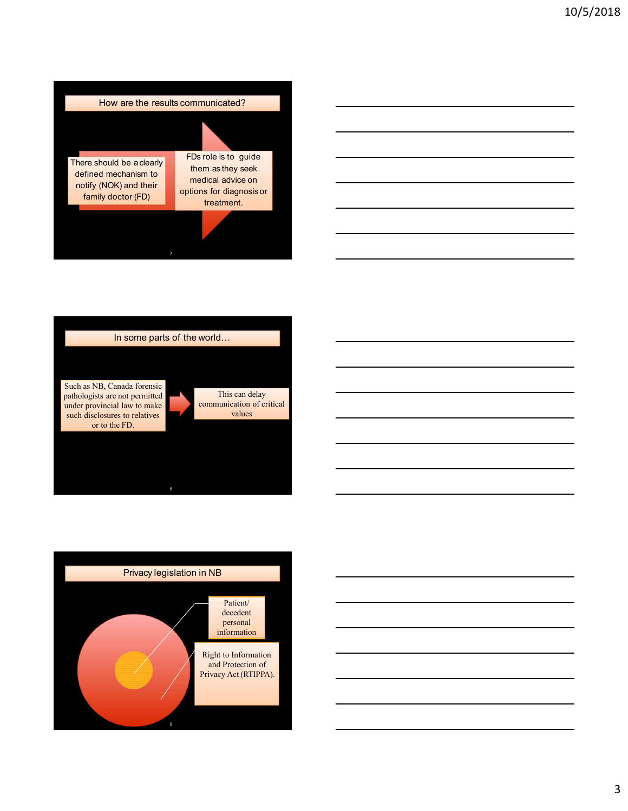







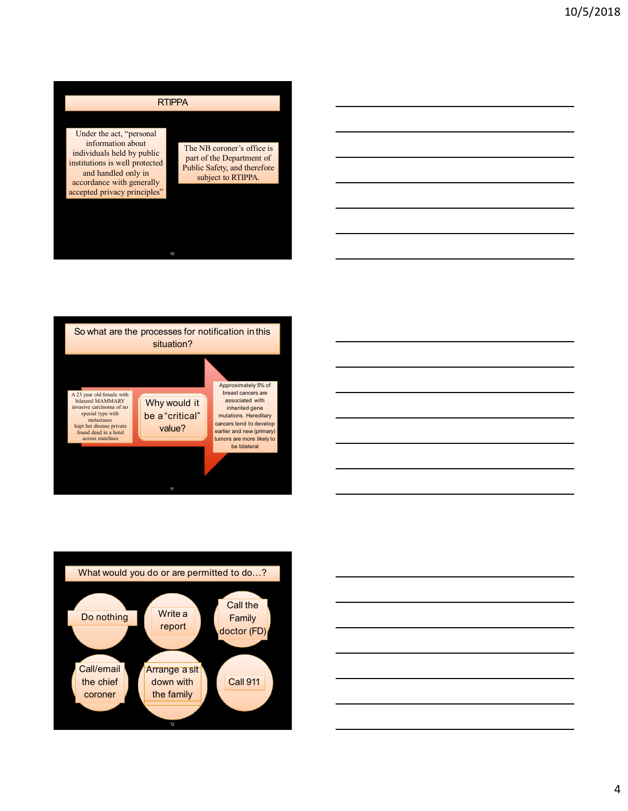## **RTIPPA**

Under the act, "personal information about individuals held by public institutions is well protected<br>
Public Safety, and therefore and handled only in Funne Sarety, and there is a subject to RTIPPA. accordance with generally<br>accepted privacy principles" RTIPPA<br>
Under the act, "personal<br>
individuals held by public<br>
individuals held by public<br>
The NB coroner's office is<br>
institutions is well protected<br>
and handed only in<br>
and handed only in<br>
accepted privacy principles"<br>
ac

The NB coroner's office is part of the Department of The NB coroner's office is<br>
part of the Department of<br>
Public Safety, and therefore<br>
subject to RTIPPA. NB coroner's office is<br>to the Department of<br>is Cafety, and therefore<br>subject to RTIPPA.







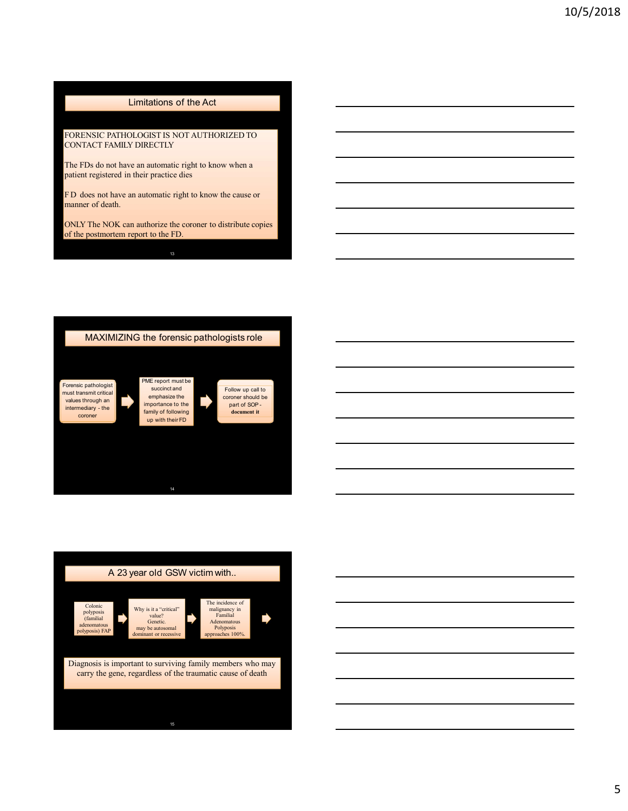# Limitations of the Act<br>DLOGIST IS NOT AUTHORIZED TO<br>Y DIRECTLY<br>ve an automatic right to know when a 10/10/10<br>
FORENSIC PATHOLOGIST IS NOT AUTHORIZED TO<br>
FORENSIC PATHOLOGIST IS NOT AUTHORIZED TO<br>
The FDs do not have an automatic right to know when a<br>
The FDs do not have an automatic right to know when a<br>
FD does not have **Limitations of the Act**<br>
FORENSIC PATHOLOGIST IS NOT AUTHORIZED TO<br>
CONTACT FAMILY DIRECTLY<br>
The FDs do not have an automatic right to know when a<br>
patient registered in their practice dies<br>
FD does not have an automatic 10/9<br>
Imitations of the Act<br>
FORENSIC PATHOLOGIST IS NOT AUTHORIZED TO<br>
CONTACT FAMILY DIRECTLY<br>
The FD does not have an automatic right to know when a<br>
FD does not have an automatic right to know when a<br>
FD does not have

Limitations of the Act<br>
FORENSIC PATHOLOGIST IS NOT AUTHORIZED TO<br>
CONTACT FAMILY DIRECTLY<br>
The FDs do not have an automatic right to know when a<br>
patient registered in their practice dies<br>
FD does not have an automatic ri 10/5<br>
10/5<br>
FORENSIC PATHOLOGIST IS NOT AUTHORIZED TO<br>
CONTACT TAMILY DIRECTLY<br>
The PD does not have an automatic right to know when a<br>
FD does not have an automatic right to know the cause or<br>
FD does not have an automati Limitations of the Act<br>
FORENSIC PATHOLOGIST IS NOT AUTHORIZED TO<br>
CONTACT FAMILY DIRECTLY<br>
The FDs do not have an automatic right to know when a<br>
patient registered in their practice dies<br>
FD does not have an automatic ri Limitations of the Act<br>
FORENSIC PATIOLOGISTER NOT AUTHORIZED TO<br>
CONTACT FAMILY DRECTLY<br>
The FDs do not have an automatic right to know when a<br>
The FDs does not have an automatic right to know when a<br>
manner of death.<br>
ma







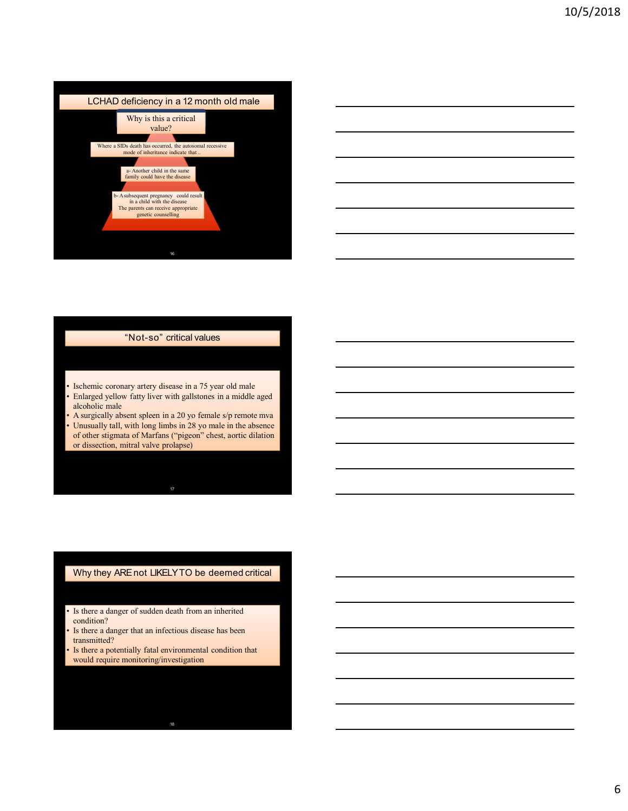



- 
- 
- 
- Isolatonic coronary ottery disease in a 75 year old male<br>
 Falagest yellow farty liver with gallstones in a middle aged<br>
 Identical in absent sudden in a 20 y to female siy recruite true and<br>
 Unamally rall, with long • Isolarinic coronary artery disease in a 75 year old male<br>
• Finlaged yellow fary liver with galaksines in a middle aged<br>
• A surgically also that also an 20 yo formals sign remote mean<br>
• Unusually all, with long lines • Inchinic conclusion and 75 year old mail<br>• Enhipsed yellow fataly brow with gallstones in a middle aged<br>a dichedele multisering factal environmental conditions of  $\lambda$  and<br>environmental condition of  $\lambda$  is the conditio Enlarged yellow faity liver with gallstones in a middle aged<br>alcoholic male<br>A surgiculy absent spheon in a 20 yo female sig remote move<br>Unusually tall, with long limbs in 28 yo male in the absence<br>of other stigmata of Mar

- condition?<br>Is there a danger that an infectious disease has been
- transmitted?
-